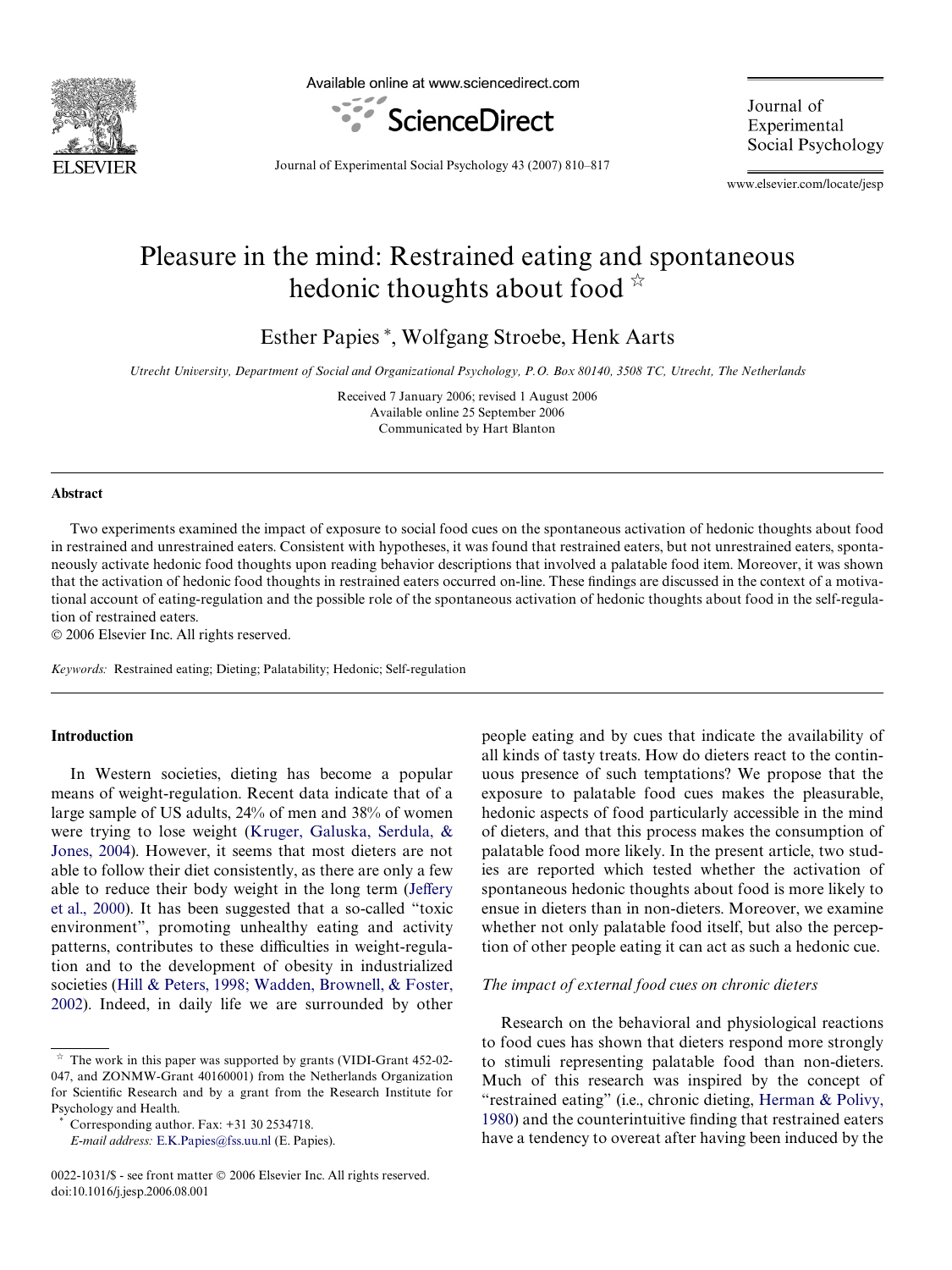

Available online at www.sciencedirect.com



Journal of Experimental Social Psychology

Journal of Experimental Social Psychology 43 (2007) 810–817

www.elsevier.com/locate/jesp

# Pleasure in the mind: Restrained eating and spontaneous hedonic thoughts about food  $\dot{\mathbb{X}}$

Esther Papies<sup>\*</sup>, Wolfgang Stroebe, Henk Aarts

*Utrecht University, Department of Social and Organizational Psychology, P.O. Box 80140, 3508 TC, Utrecht, The Netherlands*

Received 7 January 2006; revised 1 August 2006 Available online 25 September 2006 Communicated by Hart Blanton

## **Abstract**

Two experiments examined the impact of exposure to social food cues on the spontaneous activation of hedonic thoughts about food in restrained and unrestrained eaters. Consistent with hypotheses, it was found that restrained eaters, but not unrestrained eaters, spontaneously activate hedonic food thoughts upon reading behavior descriptions that involved a palatable food item. Moreover, it was shown that the activation of hedonic food thoughts in restrained eaters occurred on-line. These findings are discussed in the context of a motivational account of eating-regulation and the possible role of the spontaneous activation of hedonic thoughts about food in the self-regulation of restrained eaters.

© 2006 Elsevier Inc. All rights reserved.

*Keywords:* Restrained eating; Dieting; Palatability; Hedonic; Self-regulation

## **Introduction**

In Western societies, dieting has become a popular means of weight-regulation. Recent data indicate that of a large sample of US adults, 24% of men and 38% of women were trying to lose weight [\(Kruger, Galuska, Serdula, &](#page-7-0) [Jones, 2004\)](#page-7-0). However, it seems that most dieters are not able to follow their diet consistently, as there are only a few able to reduce their body weight in the long term ([Je](#page-7-1)ff[ery](#page-7-1) [et al., 2000](#page-7-1)). It has been suggested that a so-called "toxic environment", promoting unhealthy eating and activity patterns, contributes to these difficulties in weight-regulation and to the development of obesity in industrialized societies [\(Hill & Peters, 1998; Wadden, Brownell, & Foster,](#page-7-2) [2002\)](#page-7-2). Indeed, in daily life we are surrounded by other

Corresponding author. Fax:  $+31$  30 2534718. *E-mail address:* [E.K.Papies@fss.uu.nl](mailto: E.K.Papies@fss.uu.nl) (E. Papies). people eating and by cues that indicate the availability of all kinds of tasty treats. How do dieters react to the continuous presence of such temptations? We propose that the exposure to palatable food cues makes the pleasurable, hedonic aspects of food particularly accessible in the mind of dieters, and that this process makes the consumption of palatable food more likely. In the present article, two studies are reported which tested whether the activation of spontaneous hedonic thoughts about food is more likely to ensue in dieters than in non-dieters. Moreover, we examine whether not only palatable food itself, but also the perception of other people eating it can act as such a hedonic cue.

# *The impact of external food cues on chronic dieters*

Research on the behavioral and physiological reactions to food cues has shown that dieters respond more strongly to stimuli representing palatable food than non-dieters. Much of this research was inspired by the concept of "restrained eating" (i.e., chronic dieting, [Herman & Polivy,](#page-7-3) [1980](#page-7-3)) and the counterintuitive finding that restrained eaters have a tendency to overeat after having been induced by the

 $*$  The work in this paper was supported by grants (VIDI-Grant 452-02-047, and ZONMW-Grant 40160001) from the Netherlands Organization for Scientific Research and by a grant from the Research Institute for Psychology and Health.

<sup>0022-1031/\$ -</sup> see front matter © 2006 Elsevier Inc. All rights reserved. doi:10.1016/j.jesp.2006.08.001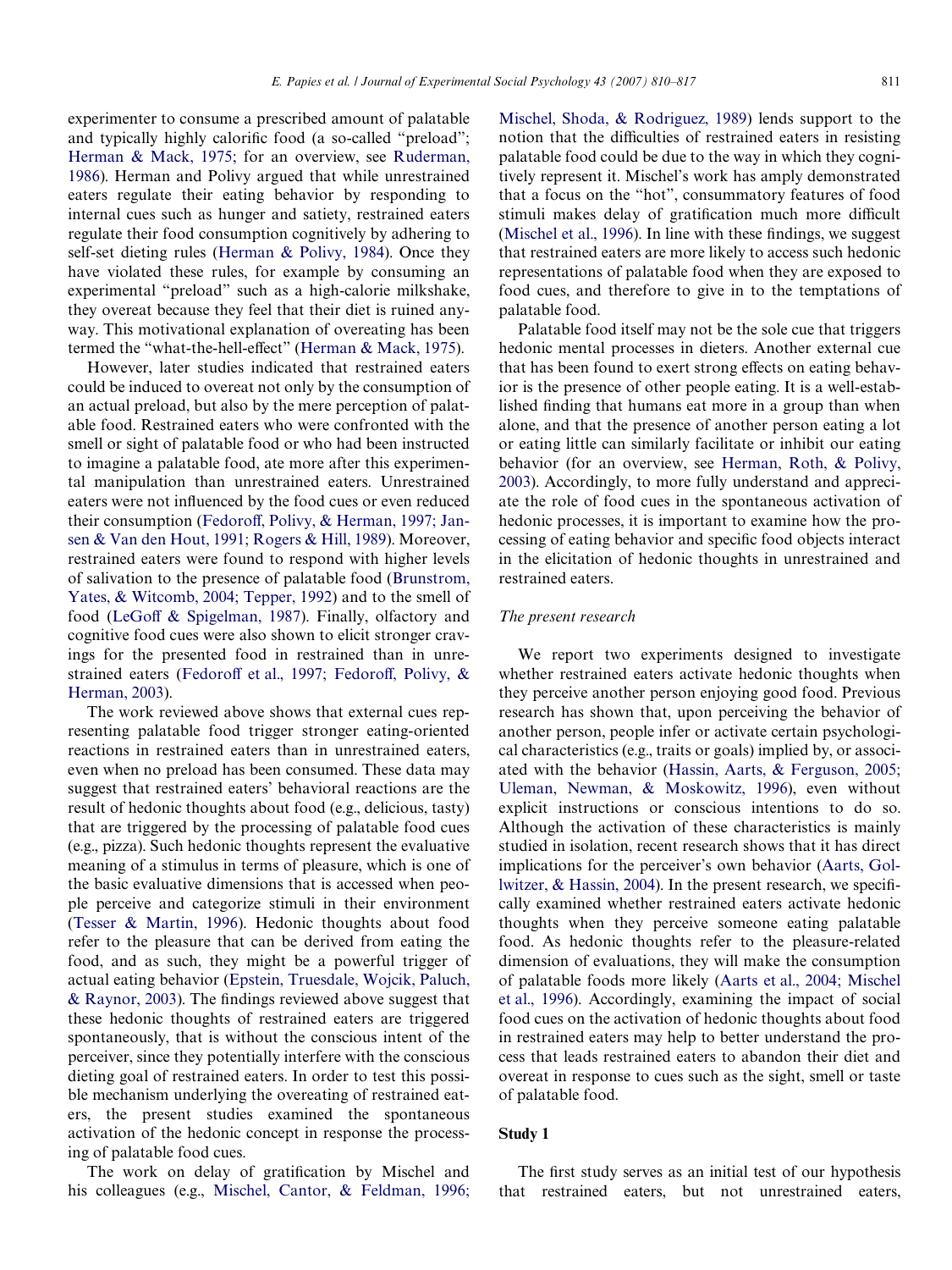experimenter to consume a prescribed amount of palatable and typically highly calorific food (a so-called "preload"; [Herman & Mack, 1975](#page-7-4); for an overview, see [Ruderman,](#page-7-5) [1986\)](#page-7-5). Herman and Polivy argued that while unrestrained eaters regulate their eating behavior by responding to internal cues such as hunger and satiety, restrained eaters regulate their food consumption cognitively by adhering to self-set dieting rules [\(Herman & Polivy, 1984](#page-7-6)). Once they have violated these rules, for example by consuming an experimental "preload" such as a high-calorie milkshake, they overeat because they feel that their diet is ruined anyway. This motivational explanation of overeating has been termed the "what-the-hell-effect" ([Herman & Mack, 1975](#page-7-4)).

However, later studies indicated that restrained eaters could be induced to overeat not only by the consumption of an actual preload, but also by the mere perception of palatable food. Restrained eaters who were confronted with the smell or sight of palatable food or who had been instructed to imagine a palatable food, ate more after this experimental manipulation than unrestrained eaters. Unrestrained eaters were not influenced by the food cues or even reduced their consumption [\(Fedoro](#page-7-7)ff[, Polivy, & Herman, 1997; Jan](#page-7-7)[sen & Van den Hout, 1991; Rogers & Hill, 1989\)](#page-7-7). Moreover, restrained eaters were found to respond with higher levels of salivation to the presence of palatable food [\(Brunstrom,](#page-7-8) [Yates, & Witcomb, 2004; Tepper, 1992\)](#page-7-8) and to the smell of food [\(LeGo](#page-7-9)ff [& Spigelman, 1987](#page-7-9)). Finally, olfactory and cognitive food cues were also shown to elicit stronger cravings for the presented food in restrained than in unre-strained eaters ([Fedoro](#page-7-7)ff [et al., 1997; Fedoro](#page-7-7)ff, Polivy,  $\&$ [Herman, 2003](#page-7-7)).

The work reviewed above shows that external cues representing palatable food trigger stronger eating-oriented reactions in restrained eaters than in unrestrained eaters, even when no preload has been consumed. These data may suggest that restrained eaters' behavioral reactions are the result of hedonic thoughts about food (e.g., delicious, tasty) that are triggered by the processing of palatable food cues (e.g., pizza). Such hedonic thoughts represent the evaluative meaning of a stimulus in terms of pleasure, which is one of the basic evaluative dimensions that is accessed when people perceive and categorize stimuli in their environment ([Tesser & Martin, 1996\)](#page-7-10). Hedonic thoughts about food refer to the pleasure that can be derived from eating the food, and as such, they might be a powerful trigger of actual eating behavior [\(Epstein, Truesdale, Wojcik, Paluch,](#page-7-11)  $&$  Raynor, 2003). The findings reviewed above suggest that these hedonic thoughts of restrained eaters are triggered spontaneously, that is without the conscious intent of the perceiver, since they potentially interfere with the conscious dieting goal of restrained eaters. In order to test this possible mechanism underlying the overeating of restrained eaters, the present studies examined the spontaneous activation of the hedonic concept in response the processing of palatable food cues.

The work on delay of gratification by Mischel and his colleagues (e.g., [Mischel, Cantor, & Feldman, 1996;](#page-7-12) [Mischel, Shoda, & Rodriguez, 1989](#page-7-12)) lends support to the notion that the difficulties of restrained eaters in resisting palatable food could be due to the way in which they cognitively represent it. Mischel's work has amply demonstrated that a focus on the "hot", consummatory features of food stimuli makes delay of gratification much more difficult [\(Mischel et al., 1996](#page-7-12)). In line with these findings, we suggest that restrained eaters are more likely to access such hedonic representations of palatable food when they are exposed to food cues, and therefore to give in to the temptations of palatable food.

Palatable food itself may not be the sole cue that triggers hedonic mental processes in dieters. Another external cue that has been found to exert strong effects on eating behavior is the presence of other people eating. It is a well-established finding that humans eat more in a group than when alone, and that the presence of another person eating a lot or eating little can similarly facilitate or inhibit our eating behavior (for an overview, see [Herman, Roth, & Polivy,](#page-7-13) [2003\)](#page-7-13). Accordingly, to more fully understand and appreciate the role of food cues in the spontaneous activation of hedonic processes, it is important to examine how the processing of eating behavior and specific food objects interact in the elicitation of hedonic thoughts in unrestrained and restrained eaters.

# *The present research*

We report two experiments designed to investigate whether restrained eaters activate hedonic thoughts when they perceive another person enjoying good food. Previous research has shown that, upon perceiving the behavior of another person, people infer or activate certain psychological characteristics (e.g., traits or goals) implied by, or associated with the behavior [\(Hassin, Aarts, & Ferguson, 2005;](#page-7-14) [Uleman, Newman, & Moskowitz, 1996\)](#page-7-14), even without explicit instructions or conscious intentions to do so. Although the activation of these characteristics is mainly studied in isolation, recent research shows that it has direct implications for the perceiver's own behavior [\(Aarts, Gol](#page-7-15)lwitzer,  $& Hassin, 2004$ ). In the present research, we specifically examined whether restrained eaters activate hedonic thoughts when they perceive someone eating palatable food. As hedonic thoughts refer to the pleasure-related dimension of evaluations, they will make the consumption of palatable foods more likely [\(Aarts et al., 2004; Mischel](#page-7-15) [et al., 1996](#page-7-15)). Accordingly, examining the impact of social food cues on the activation of hedonic thoughts about food in restrained eaters may help to better understand the process that leads restrained eaters to abandon their diet and overeat in response to cues such as the sight, smell or taste of palatable food.

## **Study 1**

The first study serves as an initial test of our hypothesis that restrained eaters, but not unrestrained eaters,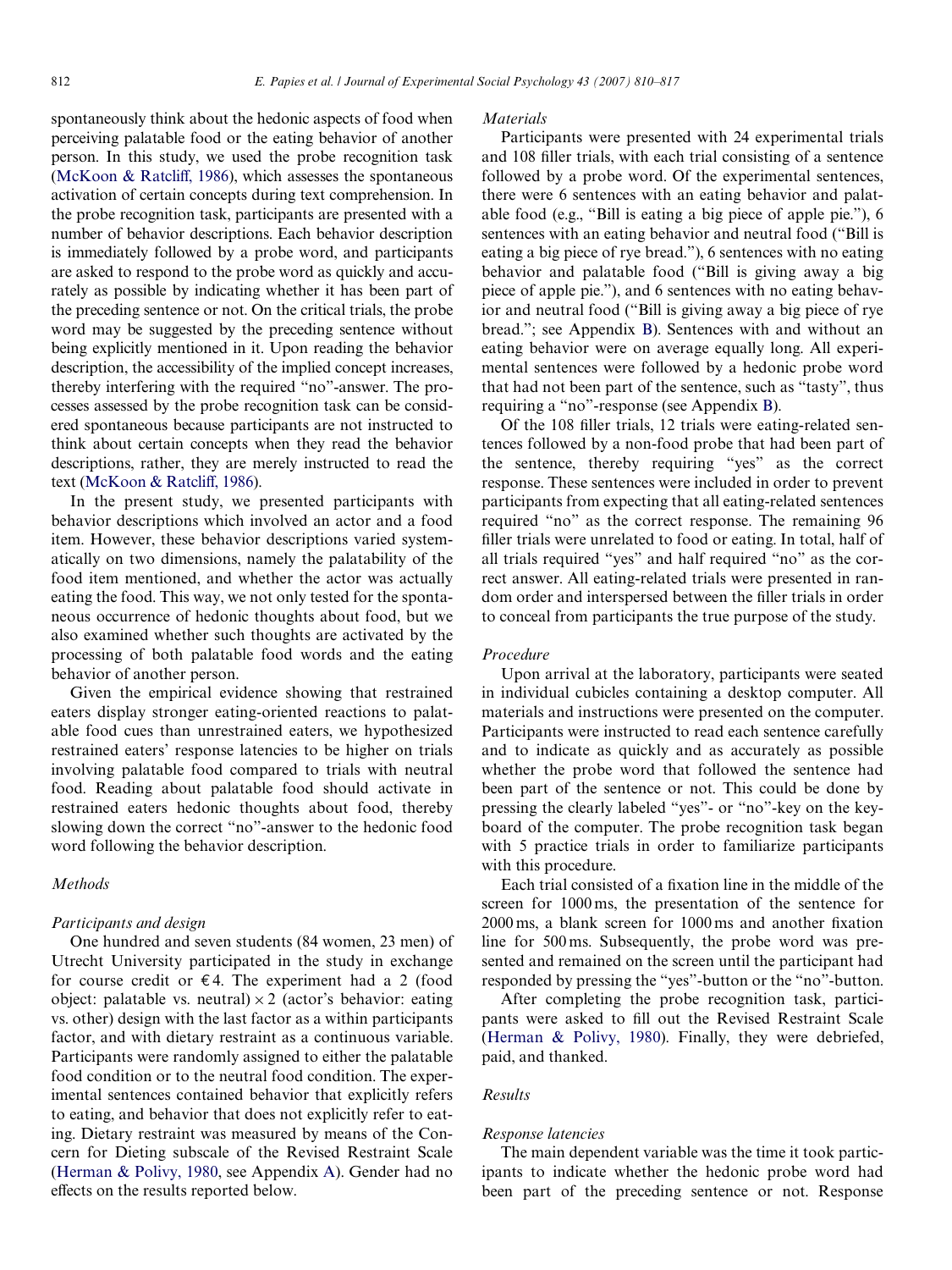spontaneously think about the hedonic aspects of food when perceiving palatable food or the eating behavior of another person. In this study, we used the probe recognition task (McKoon  $& Ratcliff, 1986$  $& Ratcliff, 1986$ ), which assesses the spontaneous activation of certain concepts during text comprehension. In the probe recognition task, participants are presented with a number of behavior descriptions. Each behavior description is immediately followed by a probe word, and participants are asked to respond to the probe word as quickly and accurately as possible by indicating whether it has been part of the preceding sentence or not. On the critical trials, the probe word may be suggested by the preceding sentence without being explicitly mentioned in it. Upon reading the behavior description, the accessibility of the implied concept increases, thereby interfering with the required "no"-answer. The processes assessed by the probe recognition task can be considered spontaneous because participants are not instructed to think about certain concepts when they read the behavior descriptions, rather, they are merely instructed to read the text [\(McKoon & Ratcli](#page-7-16)ff[, 1986\)](#page-7-16).

In the present study, we presented participants with behavior descriptions which involved an actor and a food item. However, these behavior descriptions varied systematically on two dimensions, namely the palatability of the food item mentioned, and whether the actor was actually eating the food. This way, we not only tested for the spontaneous occurrence of hedonic thoughts about food, but we also examined whether such thoughts are activated by the processing of both palatable food words and the eating behavior of another person.

Given the empirical evidence showing that restrained eaters display stronger eating-oriented reactions to palatable food cues than unrestrained eaters, we hypothesized restrained eaters' response latencies to be higher on trials involving palatable food compared to trials with neutral food. Reading about palatable food should activate in restrained eaters hedonic thoughts about food, thereby slowing down the correct "no"-answer to the hedonic food word following the behavior description.

## *Methods*

#### *Participants and design*

One hundred and seven students (84 women, 23 men) of Utrecht University participated in the study in exchange for course credit or  $\epsilon$ 4. The experiment had a 2 (food object: palatable vs. neutral)  $\times$  2 (actor's behavior: eating vs. other) design with the last factor as a within participants factor, and with dietary restraint as a continuous variable. Participants were randomly assigned to either the palatable food condition or to the neutral food condition. The experimental sentences contained behavior that explicitly refers to eating, and behavior that does not explicitly refer to eating. Dietary restraint was measured by means of the Concern for Dieting subscale of the Revised Restraint Scale [\(Herman & Polivy, 1980](#page-7-3), see Appendix [A\)](#page-6-0). Gender had no effects on the results reported below.

#### *Materials*

Participants were presented with 24 experimental trials and 108 filler trials, with each trial consisting of a sentence followed by a probe word. Of the experimental sentences, there were 6 sentences with an eating behavior and palatable food (e.g., "Bill is eating a big piece of apple pie."), 6 sentences with an eating behavior and neutral food ("Bill is eating a big piece of rye bread."), 6 sentences with no eating behavior and palatable food ("Bill is giving away a big piece of apple pie."), and 6 sentences with no eating behavior and neutral food ("Bill is giving away a big piece of rye bread."; see Appendix [B](#page-6-1)). Sentences with and without an eating behavior were on average equally long. All experimental sentences were followed by a hedonic probe word that had not been part of the sentence, such as "tasty", thus requiring a "no"-response (see Appendix [B](#page-6-1)).

Of the 108 filler trials, 12 trials were eating-related sentences followed by a non-food probe that had been part of the sentence, thereby requiring "yes" as the correct response. These sentences were included in order to prevent participants from expecting that all eating-related sentences required "no" as the correct response. The remaining 96 filler trials were unrelated to food or eating. In total, half of all trials required "yes" and half required "no" as the correct answer. All eating-related trials were presented in random order and interspersed between the filler trials in order to conceal from participants the true purpose of the study.

## *Procedure*

Upon arrival at the laboratory, participants were seated in individual cubicles containing a desktop computer. All materials and instructions were presented on the computer. Participants were instructed to read each sentence carefully and to indicate as quickly and as accurately as possible whether the probe word that followed the sentence had been part of the sentence or not. This could be done by pressing the clearly labeled "yes"- or "no"-key on the keyboard of the computer. The probe recognition task began with 5 practice trials in order to familiarize participants with this procedure.

Each trial consisted of a fixation line in the middle of the screen for 1000 ms, the presentation of the sentence for  $2000 \text{ ms}$ , a blank screen for  $1000 \text{ ms}$  and another fixation line for 500 ms. Subsequently, the probe word was presented and remained on the screen until the participant had responded by pressing the "yes"-button or the "no"-button.

After completing the probe recognition task, participants were asked to fill out the Revised Restraint Scale ([Herman & Polivy, 1980](#page-7-3)). Finally, they were debriefed, paid, and thanked.

# *Results*

#### *Response latencies*

The main dependent variable was the time it took participants to indicate whether the hedonic probe word had been part of the preceding sentence or not. Response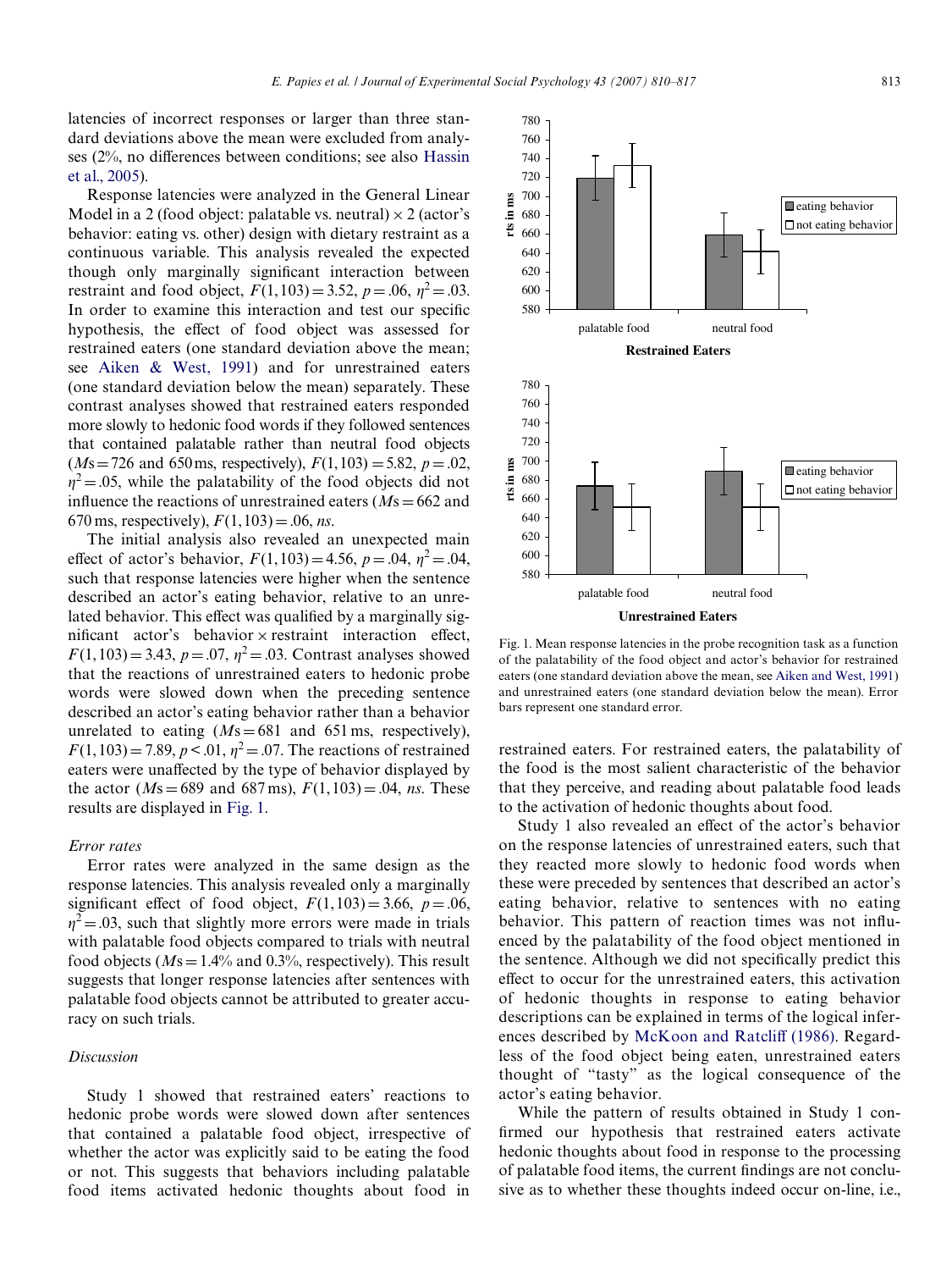latencies of incorrect responses or larger than three standard deviations above the mean were excluded from analyses  $(2\%$ , no differences between conditions; see also [Hassin](#page-7-14) [et al., 2005](#page-7-14)).

Response latencies were analyzed in the General Linear Model in a 2 (food object: palatable vs. neutral)  $\times$  2 (actor's behavior: eating vs. other) design with dietary restraint as a continuous variable. This analysis revealed the expected though only marginally significant interaction between restraint and food object,  $F(1, 103) = 3.52$ ,  $p = .06$ ,  $\eta^2 = .03$ . In order to examine this interaction and test our specific hypothesis, the effect of food object was assessed for restrained eaters (one standard deviation above the mean; see [Aiken & West, 1991](#page-7-17)) and for unrestrained eaters (one standard deviation below the mean) separately. These contrast analyses showed that restrained eaters responded more slowly to hedonic food words if they followed sentences that contained palatable rather than neutral food objects  $(Ms=726$  and 650ms, respectively),  $F(1,103) = 5.82$ ,  $p = 0.02$ ,  $\eta^2$  = 0.05, while the palatability of the food objects did not influence the reactions of unrestrained eaters ( $Ms = 662$  and 670 ms, respectively),  $F(1,103) = .06$ , *ns*.

The initial analysis also revealed an unexpected main effect of actor's behavior,  $F(1,103) = 4.56$ ,  $p = .04$ ,  $\eta^2 = .04$ , such that response latencies were higher when the sentence described an actor's eating behavior, relative to an unrelated behavior. This effect was qualified by a marginally significant actor's behavior  $\times$  restraint interaction effect,  $F(1, 103) = 3.43, p = .07, \eta^2 = .03$ . Contrast analyses showed that the reactions of unrestrained eaters to hedonic probe words were slowed down when the preceding sentence described an actor's eating behavior rather than a behavior unrelated to eating  $(Ms = 681$  and 651 ms, respectively),  $F(1, 103) = 7.89, p < 0.01, \eta^2 = 0.07$ . The reactions of restrained eaters were unaffected by the type of behavior displayed by the actor ( $Ms = 689$  and 687 ms),  $F(1, 103) = 0.04$ , *ns*. These results are displayed in [Fig. 1.](#page-3-0)

#### *Error rates*

Error rates were analyzed in the same design as the response latencies. This analysis revealed only a marginally significant effect of food object,  $F(1, 103) = 3.66$ ,  $p = 0.06$ ,  $\eta^2$  = .03, such that slightly more errors were made in trials with palatable food objects compared to trials with neutral food objects ( $Ms = 1.4\%$  and 0.3%, respectively). This result suggests that longer response latencies after sentences with palatable food objects cannot be attributed to greater accuracy on such trials.

#### *Discussion*

Study 1 showed that restrained eaters' reactions to hedonic probe words were slowed down after sentences that contained a palatable food object, irrespective of whether the actor was explicitly said to be eating the food or not. This suggests that behaviors including palatable food items activated hedonic thoughts about food in



<span id="page-3-0"></span>Fig. 1. Mean response latencies in the probe recognition task as a function of the palatability of the food object and actor's behavior for restrained eaters (one standard deviation above the mean, see [Aiken and West, 1991](#page-7-17)) and unrestrained eaters (one standard deviation below the mean). Error bars represent one standard error.

restrained eaters. For restrained eaters, the palatability of the food is the most salient characteristic of the behavior that they perceive, and reading about palatable food leads to the activation of hedonic thoughts about food.

Study 1 also revealed an effect of the actor's behavior on the response latencies of unrestrained eaters, such that they reacted more slowly to hedonic food words when these were preceded by sentences that described an actor's eating behavior, relative to sentences with no eating behavior. This pattern of reaction times was not influenced by the palatability of the food object mentioned in the sentence. Although we did not specifically predict this effect to occur for the unrestrained eaters, this activation of hedonic thoughts in response to eating behavior descriptions can be explained in terms of the logical infer-ences described by [McKoon and Ratcli](#page-7-16)ff [\(1986\)](#page-7-16). Regardless of the food object being eaten, unrestrained eaters thought of "tasty" as the logical consequence of the actor's eating behavior.

While the pattern of results obtained in Study 1 confirmed our hypothesis that restrained eaters activate hedonic thoughts about food in response to the processing of palatable food items, the current findings are not conclusive as to whether these thoughts indeed occur on-line, i.e.,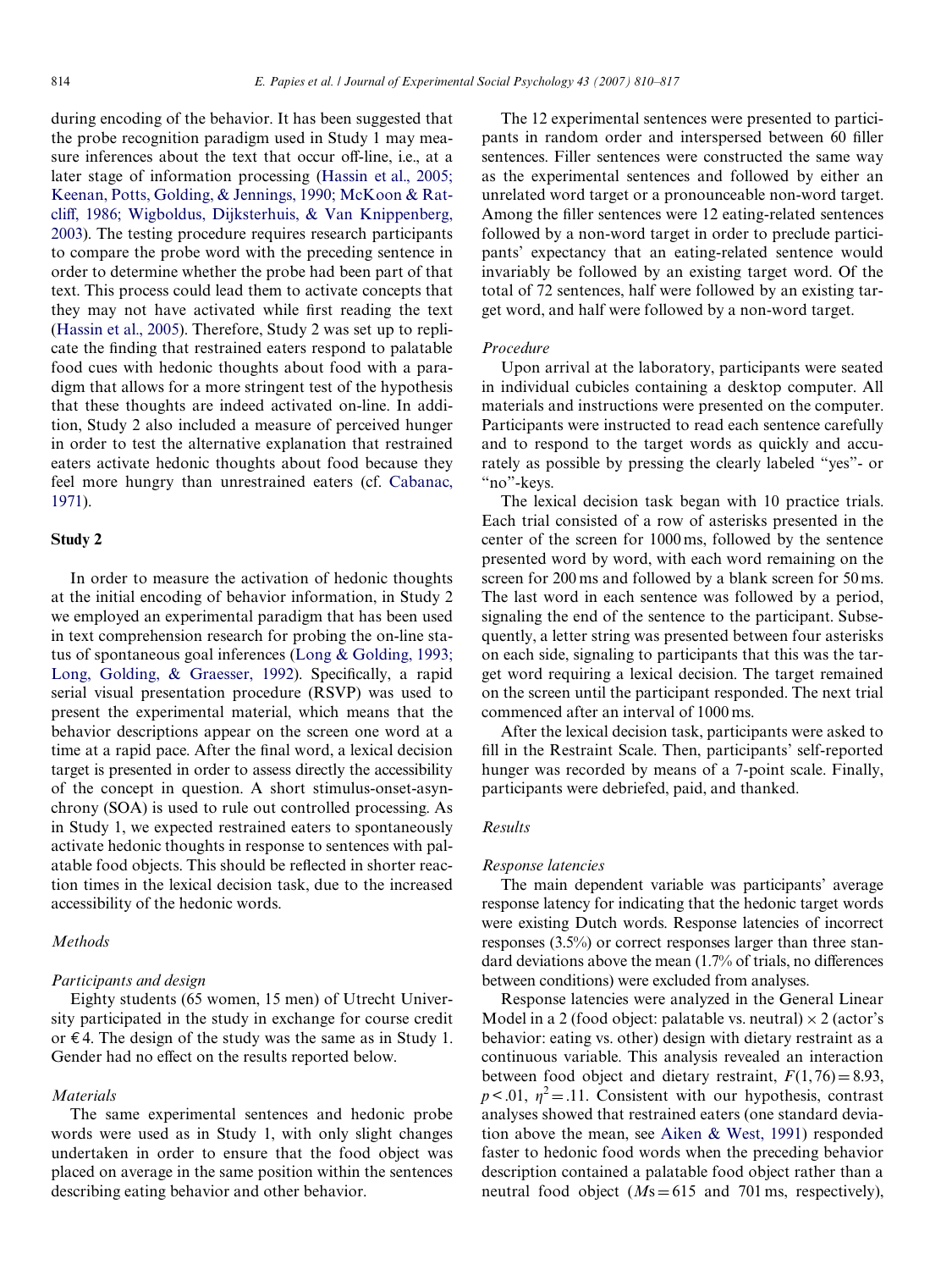during encoding of the behavior. It has been suggested that the probe recognition paradigm used in Study 1 may measure inferences about the text that occur off-line, i.e., at a later stage of information processing [\(Hassin et al., 2005;](#page-7-14) [Keenan, Potts, Golding, & Jennings, 1990; McKoon & Rat](#page-7-14)[cli](#page-7-14)ff, 1986; Wigboldus, Dijksterhuis, & [V](#page-7-14)an Knippenberg, [2003\)](#page-7-14). The testing procedure requires research participants to compare the probe word with the preceding sentence in order to determine whether the probe had been part of that text. This process could lead them to activate concepts that they may not have activated while first reading the text [\(Hassin et al., 2005](#page-7-14)). Therefore, Study 2 was set up to replicate the finding that restrained eaters respond to palatable food cues with hedonic thoughts about food with a paradigm that allows for a more stringent test of the hypothesis that these thoughts are indeed activated on-line. In addition, Study 2 also included a measure of perceived hunger in order to test the alternative explanation that restrained eaters activate hedonic thoughts about food because they feel more hungry than unrestrained eaters (cf. [Cabanac,](#page-7-18) [1971\)](#page-7-18).

## **Study 2**

In order to measure the activation of hedonic thoughts at the initial encoding of behavior information, in Study 2 we employed an experimental paradigm that has been used in text comprehension research for probing the on-line status of spontaneous goal inferences ([Long & Golding, 1993;](#page-7-19) [Long, Golding, & Graesser, 1992\)](#page-7-19). Specifically, a rapid serial visual presentation procedure (RSVP) was used to present the experimental material, which means that the behavior descriptions appear on the screen one word at a time at a rapid pace. After the final word, a lexical decision target is presented in order to assess directly the accessibility of the concept in question. A short stimulus-onset-asynchrony (SOA) is used to rule out controlled processing. As in Study 1, we expected restrained eaters to spontaneously activate hedonic thoughts in response to sentences with palatable food objects. This should be reflected in shorter reaction times in the lexical decision task, due to the increased accessibility of the hedonic words.

# *Methods*

#### *Participants and design*

Eighty students (65 women, 15 men) of Utrecht University participated in the study in exchange for course credit or  $\epsilon$ 4. The design of the study was the same as in Study 1. Gender had no effect on the results reported below.

## *Materials*

The same experimental sentences and hedonic probe words were used as in Study 1, with only slight changes undertaken in order to ensure that the food object was placed on average in the same position within the sentences describing eating behavior and other behavior.

The 12 experimental sentences were presented to participants in random order and interspersed between 60 filler sentences. Filler sentences were constructed the same way as the experimental sentences and followed by either an unrelated word target or a pronounceable non-word target. Among the filler sentences were 12 eating-related sentences followed by a non-word target in order to preclude participants' expectancy that an eating-related sentence would invariably be followed by an existing target word. Of the total of 72 sentences, half were followed by an existing target word, and half were followed by a non-word target.

## *Procedure*

Upon arrival at the laboratory, participants were seated in individual cubicles containing a desktop computer. All materials and instructions were presented on the computer. Participants were instructed to read each sentence carefully and to respond to the target words as quickly and accurately as possible by pressing the clearly labeled "yes"- or "no"-keys.

The lexical decision task began with 10 practice trials. Each trial consisted of a row of asterisks presented in the center of the screen for 1000 ms, followed by the sentence presented word by word, with each word remaining on the screen for 200 ms and followed by a blank screen for 50 ms. The last word in each sentence was followed by a period, signaling the end of the sentence to the participant. Subsequently, a letter string was presented between four asterisks on each side, signaling to participants that this was the target word requiring a lexical decision. The target remained on the screen until the participant responded. The next trial commenced after an interval of 1000 ms.

After the lexical decision task, participants were asked to fill in the Restraint Scale. Then, participants' self-reported hunger was recorded by means of a 7-point scale. Finally, participants were debriefed, paid, and thanked.

# *Results*

#### *Response latencies*

The main dependent variable was participants' average response latency for indicating that the hedonic target words were existing Dutch words. Response latencies of incorrect responses (3.5%) or correct responses larger than three standard deviations above the mean  $(1.7\%$  of trials, no differences between conditions) were excluded from analyses.

Response latencies were analyzed in the General Linear Model in a 2 (food object: palatable vs. neutral)  $\times$  2 (actor's behavior: eating vs. other) design with dietary restraint as a continuous variable. This analysis revealed an interaction between food object and dietary restraint,  $F(1, 76) = 8.93$ ,  $p < .01$ ,  $\eta^2 = .11$ . Consistent with our hypothesis, contrast analyses showed that restrained eaters (one standard deviation above the mean, see [Aiken & West, 1991\)](#page-7-17) responded faster to hedonic food words when the preceding behavior description contained a palatable food object rather than a neutral food object  $(Ms=615$  and 701 ms, respectively),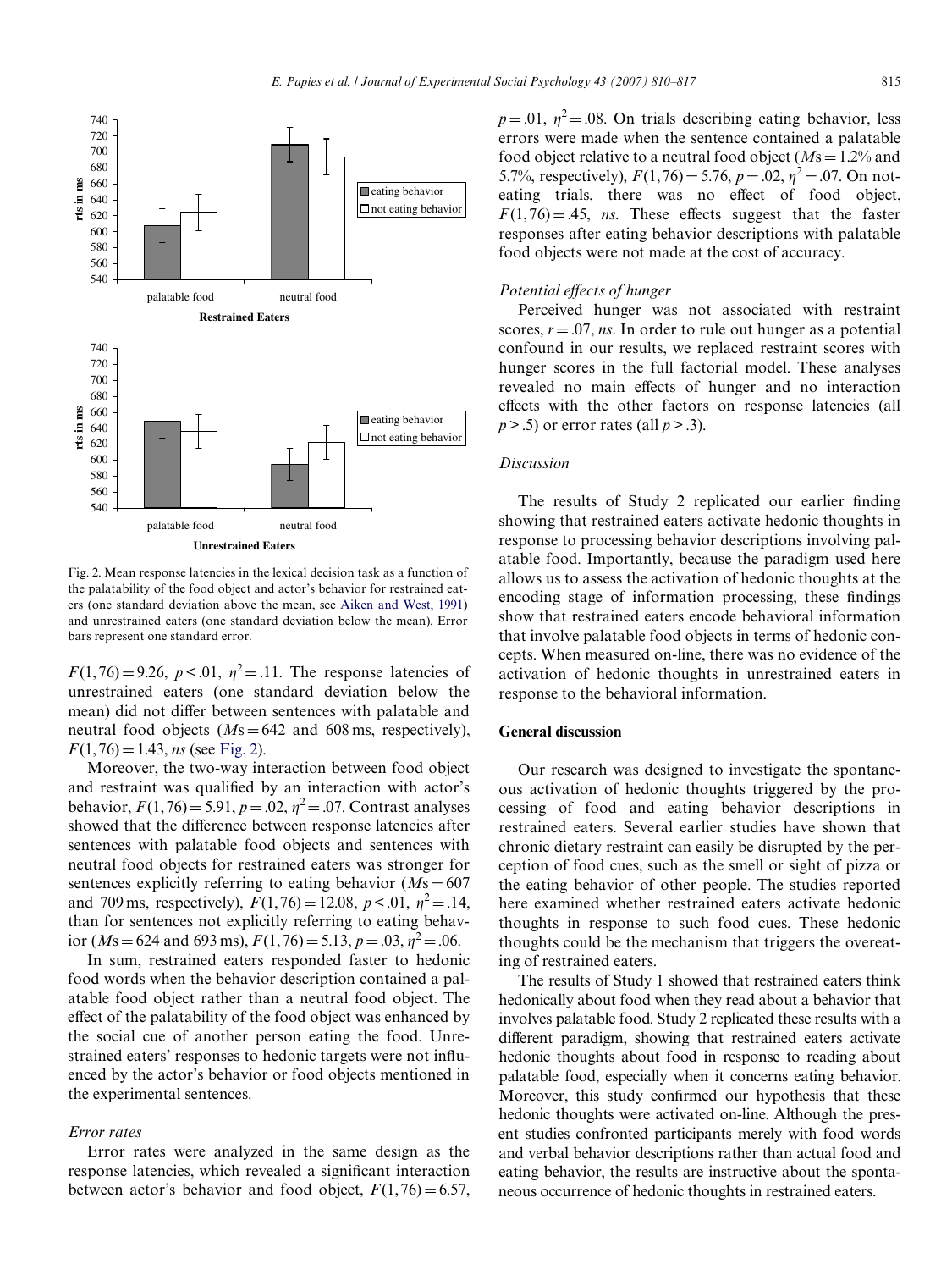

<span id="page-5-0"></span>Fig. 2. Mean response latencies in the lexical decision task as a function of the palatability of the food object and actor's behavior for restrained eaters (one standard deviation above the mean, see [Aiken and West, 1991\)](#page-7-17) and unrestrained eaters (one standard deviation below the mean). Error bars represent one standard error.

 $F(1, 76) = 9.26$ ,  $p < 0.01$ ,  $\eta^2 = 0.11$ . The response latencies of unrestrained eaters (one standard deviation below the mean) did not differ between sentences with palatable and neutral food objects ( $Ms = 642$  and 608 ms, respectively),  $F(1, 76) = 1.43$ , *ns* (see [Fig. 2](#page-5-0)).

Moreover, the two-way interaction between food object and restraint was qualified by an interaction with actor's behavior,  $F(1, 76) = 5.91$ ,  $p = .02$ ,  $\eta^2 = .07$ . Contrast analyses showed that the difference between response latencies after sentences with palatable food objects and sentences with neutral food objects for restrained eaters was stronger for sentences explicitly referring to eating behavior  $(Ms=607)$ and 709 ms, respectively),  $F(1, 76) = 12.08$ ,  $p < .01$ ,  $\eta^2 = .14$ , than for sentences not explicitly referring to eating behavior ( $Ms = 624$  and 693 ms),  $F(1, 76) = 5.13$ ,  $p = .03$ ,  $\eta^2 = .06$ .

In sum, restrained eaters responded faster to hedonic food words when the behavior description contained a palatable food object rather than a neutral food object. The effect of the palatability of the food object was enhanced by the social cue of another person eating the food. Unrestrained eaters' responses to hedonic targets were not influenced by the actor's behavior or food objects mentioned in the experimental sentences.

# *Error rates*

Error rates were analyzed in the same design as the response latencies, which revealed a significant interaction between actor's behavior and food object,  $F(1, 76) = 6.57$ ,

 $p = 0.01$ ,  $\eta^2 = 0.08$ . On trials describing eating behavior, less errors were made when the sentence contained a palatable food object relative to a neutral food object  $(Ms = 1.2\%$  and 5.7%, respectively),  $F(1,76) = 5.76$ ,  $p = .02$ ,  $\eta^2 = .07$ . On noteating trials, there was no effect of food object,  $F(1, 76) = .45$ , *ns*. These effects suggest that the faster responses after eating behavior descriptions with palatable food objects were not made at the cost of accuracy.

# *Potential effects of hunger*

Perceived hunger was not associated with restraint scores,  $r = 0.07$ , *ns*. In order to rule out hunger as a potential confound in our results, we replaced restraint scores with hunger scores in the full factorial model. These analyses revealed no main effects of hunger and no interaction effects with the other factors on response latencies (all *p*> .5) or error rates (all *p*> .3).

#### *Discussion*

The results of Study 2 replicated our earlier finding showing that restrained eaters activate hedonic thoughts in response to processing behavior descriptions involving palatable food. Importantly, because the paradigm used here allows us to assess the activation of hedonic thoughts at the encoding stage of information processing, these findings show that restrained eaters encode behavioral information that involve palatable food objects in terms of hedonic concepts. When measured on-line, there was no evidence of the activation of hedonic thoughts in unrestrained eaters in response to the behavioral information.

# **General discussion**

Our research was designed to investigate the spontaneous activation of hedonic thoughts triggered by the processing of food and eating behavior descriptions in restrained eaters. Several earlier studies have shown that chronic dietary restraint can easily be disrupted by the perception of food cues, such as the smell or sight of pizza or the eating behavior of other people. The studies reported here examined whether restrained eaters activate hedonic thoughts in response to such food cues. These hedonic thoughts could be the mechanism that triggers the overeating of restrained eaters.

The results of Study 1 showed that restrained eaters think hedonically about food when they read about a behavior that involves palatable food. Study 2 replicated these results with a different paradigm, showing that restrained eaters activate hedonic thoughts about food in response to reading about palatable food, especially when it concerns eating behavior. Moreover, this study confirmed our hypothesis that these hedonic thoughts were activated on-line. Although the present studies confronted participants merely with food words and verbal behavior descriptions rather than actual food and eating behavior, the results are instructive about the spontaneous occurrence of hedonic thoughts in restrained eaters.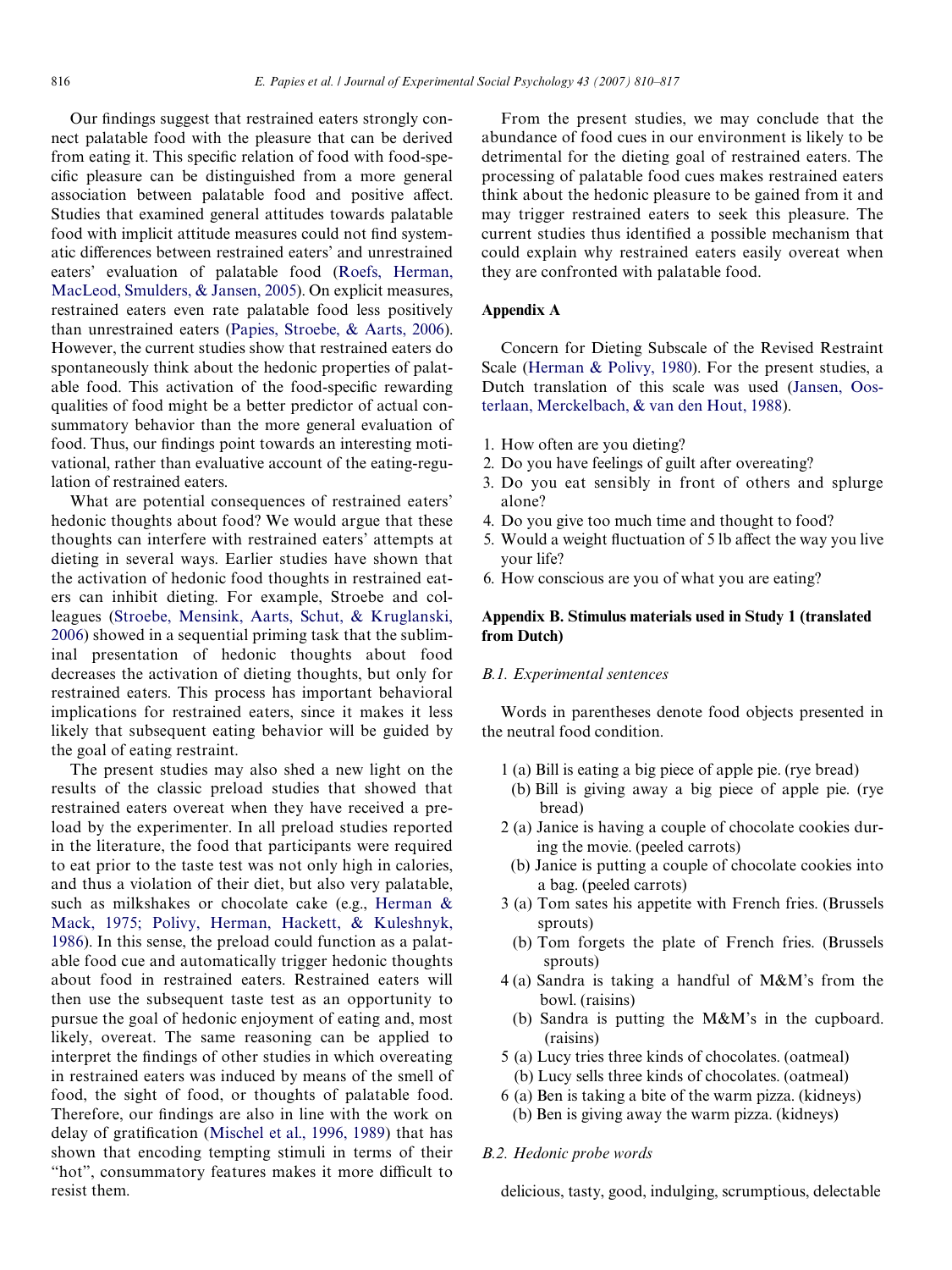Our findings suggest that restrained eaters strongly connect palatable food with the pleasure that can be derived from eating it. This specific relation of food with food-specific pleasure can be distinguished from a more general association between palatable food and positive affect. Studies that examined general attitudes towards palatable food with implicit attitude measures could not find systematic differences between restrained eaters' and unrestrained eaters' evaluation of palatable food ([Roefs, Herman,](#page-7-20) [MacLeod, Smulders, & Jansen, 2005\)](#page-7-20). On explicit measures, restrained eaters even rate palatable food less positively than unrestrained eaters [\(Papies, Stroebe, & Aarts, 2006\)](#page-7-21). However, the current studies show that restrained eaters do spontaneously think about the hedonic properties of palatable food. This activation of the food-specific rewarding qualities of food might be a better predictor of actual consummatory behavior than the more general evaluation of food. Thus, our findings point towards an interesting motivational, rather than evaluative account of the eating-regulation of restrained eaters.

What are potential consequences of restrained eaters' hedonic thoughts about food? We would argue that these thoughts can interfere with restrained eaters' attempts at dieting in several ways. Earlier studies have shown that the activation of hedonic food thoughts in restrained eaters can inhibit dieting. For example, Stroebe and colleagues ([Stroebe, Mensink, Aarts, Schut, & Kruglanski,](#page-7-22) [2006](#page-7-22)) showed in a sequential priming task that the subliminal presentation of hedonic thoughts about food decreases the activation of dieting thoughts, but only for restrained eaters. This process has important behavioral implications for restrained eaters, since it makes it less likely that subsequent eating behavior will be guided by the goal of eating restraint.

The present studies may also shed a new light on the results of the classic preload studies that showed that restrained eaters overeat when they have received a preload by the experimenter. In all preload studies reported in the literature, the food that participants were required to eat prior to the taste test was not only high in calories, and thus a violation of their diet, but also very palatable, such as milkshakes or chocolate cake (e.g., [Herman &](#page-7-4) [Mack, 1975; Polivy, Herman, Hackett, & Kuleshnyk,](#page-7-4) [1986](#page-7-4)). In this sense, the preload could function as a palatable food cue and automatically trigger hedonic thoughts about food in restrained eaters. Restrained eaters will then use the subsequent taste test as an opportunity to pursue the goal of hedonic enjoyment of eating and, most likely, overeat. The same reasoning can be applied to interpret the findings of other studies in which overeating in restrained eaters was induced by means of the smell of food, the sight of food, or thoughts of palatable food. Therefore, our findings are also in line with the work on delay of gratification ([Mischel et al., 1996, 1989](#page-7-12)) that has shown that encoding tempting stimuli in terms of their "hot", consummatory features makes it more difficult to resist them.

From the present studies, we may conclude that the abundance of food cues in our environment is likely to be detrimental for the dieting goal of restrained eaters. The processing of palatable food cues makes restrained eaters think about the hedonic pleasure to be gained from it and may trigger restrained eaters to seek this pleasure. The current studies thus identified a possible mechanism that could explain why restrained eaters easily overeat when they are confronted with palatable food.

# <span id="page-6-0"></span>**Appendix A**

Concern for Dieting Subscale of the Revised Restraint Scale [\(Herman & Polivy, 1980\)](#page-7-3). For the present studies, a Dutch translation of this scale was used ([Jansen, Oos](#page-7-23)[terlaan, Merckelbach, & van den Hout, 1988](#page-7-23)).

- 1. How often are you dieting?
- 2. Do you have feelings of guilt after overeating?
- 3. Do you eat sensibly in front of others and splurge alone?
- 4. Do you give too much time and thought to food?
- 5. Would a weight fluctuation of 5 lb affect the way you live your life?
- 6. How conscious are you of what you are eating?

# <span id="page-6-1"></span>**Appendix B. Stimulus materials used in Study 1 (translated from Dutch)**

## *B.1. Experimental sentences*

Words in parentheses denote food objects presented in the neutral food condition.

- 1 (a) Bill is eating a big piece of apple pie. (rye bread)
- (b) Bill is giving away a big piece of apple pie. (rye bread)
- 2 (a) Janice is having a couple of chocolate cookies during the movie. (peeled carrots)
- (b) Janice is putting a couple of chocolate cookies into a bag. (peeled carrots)
- 3 (a) Tom sates his appetite with French fries. (Brussels sprouts)
	- (b) Tom forgets the plate of French fries. (Brussels sprouts)
- 4 (a) Sandra is taking a handful of M&M's from the bowl. (raisins)
	- (b) Sandra is putting the M&M's in the cupboard. (raisins)
- 5 (a) Lucy tries three kinds of chocolates. (oatmeal) (b) Lucy sells three kinds of chocolates. (oatmeal)
- 6 (a) Ben is taking a bite of the warm pizza. (kidneys)
	- (b) Ben is giving away the warm pizza. (kidneys)

## *B.2. Hedonic probe words*

delicious, tasty, good, indulging, scrumptious, delectable